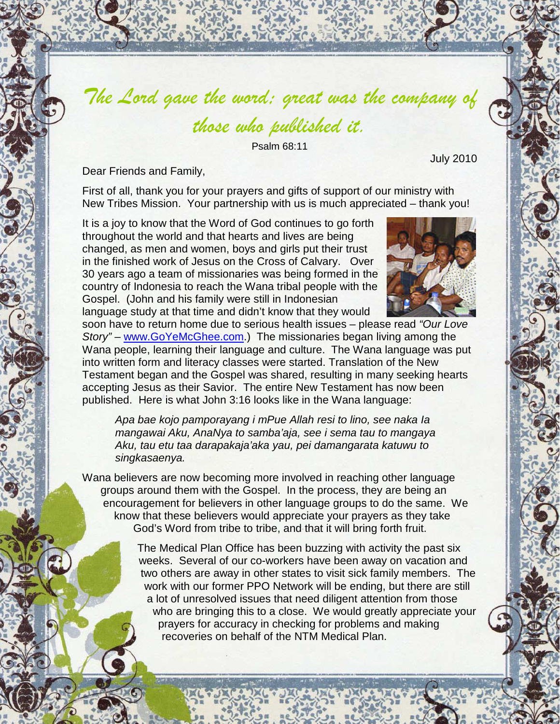

LOXLYJKCLOXLYJKCSOFLYJKCLOXL

## those who published it.

Psalm 68:11

July 2010

Dear Friends and Family,

First of all, thank you for your prayers and gifts of support of our ministry with New Tribes Mission. Your partnership with us is much appreciated – thank you!

It is a joy to know that the Word of God continues to go forth throughout the world and that hearts and lives are being changed, as men and women, boys and girls put their trust in the finished work of Jesus on the Cross of Calvary. Over 30 years ago a team of missionaries was being formed in the country of Indonesia to reach the Wana tribal people with the Gospel. (John and his family were still in Indonesian language study at that time and didn't know that they would



soon have to return home due to serious health issues – please read "Our Love Story" – www.GoYeMcGhee.com.) The missionaries began living among the Wana people, learning their language and culture. The Wana language was put into written form and literacy classes were started. Translation of the New Testament began and the Gospel was shared, resulting in many seeking hearts accepting Jesus as their Savior. The entire New Testament has now been published. Here is what John 3:16 looks like in the Wana language:

Apa bae kojo pamporayang i mPue Allah resi to lino, see naka Ia mangawai Aku, AnaNya to samba'aja, see i sema tau to mangaya Aku, tau etu taa darapakaja'aka yau, pei damangarata katuwu to singkasaenya.

Wana believers are now becoming more involved in reaching other language groups around them with the Gospel. In the process, they are being an encouragement for believers in other language groups to do the same. We know that these believers would appreciate your prayers as they take God's Word from tribe to tribe, and that it will bring forth fruit.

> The Medical Plan Office has been buzzing with activity the past six weeks. Several of our co-workers have been away on vacation and two others are away in other states to visit sick family members. The work with our former PPO Network will be ending, but there are still a lot of unresolved issues that need diligent attention from those who are bringing this to a close. We would greatly appreciate your prayers for accuracy in checking for problems and making recoveries on behalf of the NTM Medical Plan.